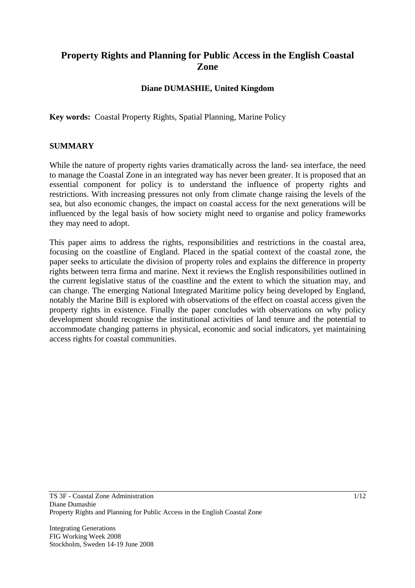# **Property Rights and Planning for Public Access in the English Coastal Zone**

### **Diane DUMASHIE, United Kingdom**

**Key words:** Coastal Property Rights, Spatial Planning, Marine Policy

#### **SUMMARY**

While the nature of property rights varies dramatically across the land- sea interface, the need to manage the Coastal Zone in an integrated way has never been greater. It is proposed that an essential component for policy is to understand the influence of property rights and restrictions. With increasing pressures not only from climate change raising the levels of the sea, but also economic changes, the impact on coastal access for the next generations will be influenced by the legal basis of how society might need to organise and policy frameworks they may need to adopt.

This paper aims to address the rights, responsibilities and restrictions in the coastal area, focusing on the coastline of England. Placed in the spatial context of the coastal zone, the paper seeks to articulate the division of property roles and explains the difference in property rights between terra firma and marine. Next it reviews the English responsibilities outlined in the current legislative status of the coastline and the extent to which the situation may, and can change. The emerging National Integrated Maritime policy being developed by England, notably the Marine Bill is explored with observations of the effect on coastal access given the property rights in existence. Finally the paper concludes with observations on why policy development should recognise the institutional activities of land tenure and the potential to accommodate changing patterns in physical, economic and social indicators, yet maintaining access rights for coastal communities.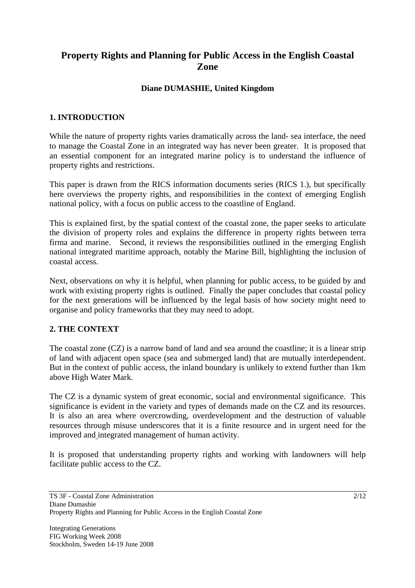# **Property Rights and Planning for Public Access in the English Coastal Zone**

## **Diane DUMASHIE, United Kingdom**

### **1. INTRODUCTION**

While the nature of property rights varies dramatically across the land- sea interface, the need to manage the Coastal Zone in an integrated way has never been greater. It is proposed that an essential component for an integrated marine policy is to understand the influence of property rights and restrictions.

This paper is drawn from the RICS information documents series (RICS 1.), but specifically here overviews the property rights, and responsibilities in the context of emerging English national policy, with a focus on public access to the coastline of England.

This is explained first, by the spatial context of the coastal zone, the paper seeks to articulate the division of property roles and explains the difference in property rights between terra firma and marine. Second, it reviews the responsibilities outlined in the emerging English national integrated maritime approach, notably the Marine Bill, highlighting the inclusion of coastal access.

Next, observations on why it is helpful, when planning for public access, to be guided by and work with existing property rights is outlined. Finally the paper concludes that coastal policy for the next generations will be influenced by the legal basis of how society might need to organise and policy frameworks that they may need to adopt.

### **2. THE CONTEXT**

The coastal zone (CZ) is a narrow band of land and sea around the coastline; it is a linear strip of land with adjacent open space (sea and submerged land) that are mutually interdependent. But in the context of public access, the inland boundary is unlikely to extend further than 1km above High Water Mark.

The CZ is a dynamic system of great economic, social and environmental significance. This significance is evident in the variety and types of demands made on the CZ and its resources. It is also an area where overcrowding, overdevelopment and the destruction of valuable resources through misuse underscores that it is a finite resource and in urgent need for the improved and integrated management of human activity.

It is proposed that understanding property rights and working with landowners will help facilitate public access to the CZ.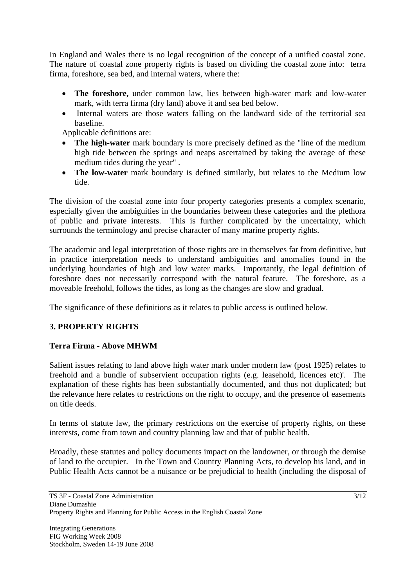In England and Wales there is no legal recognition of the concept of a unified coastal zone. The nature of coastal zone property rights is based on dividing the coastal zone into: terra firma, foreshore, sea bed, and internal waters, where the:

- **The foreshore,** under common law, lies between high-water mark and low-water mark, with terra firma (dry land) above it and sea bed below.
- Internal waters are those waters falling on the landward side of the territorial sea baseline.

Applicable definitions are:

- **The high-water** mark boundary is more precisely defined as the "line of the medium" high tide between the springs and neaps ascertained by taking the average of these medium tides during the year" .
- **The low-water** mark boundary is defined similarly, but relates to the Medium low tide.

The division of the coastal zone into four property categories presents a complex scenario, especially given the ambiguities in the boundaries between these categories and the plethora of public and private interests. This is further complicated by the uncertainty, which surrounds the terminology and precise character of many marine property rights.

The academic and legal interpretation of those rights are in themselves far from definitive, but in practice interpretation needs to understand ambiguities and anomalies found in the underlying boundaries of high and low water marks. Importantly, the legal definition of foreshore does not necessarily correspond with the natural feature. The foreshore, as a moveable freehold, follows the tides, as long as the changes are slow and gradual.

The significance of these definitions as it relates to public access is outlined below.

# **3. PROPERTY RIGHTS**

### **Terra Firma - Above MHWM**

Salient issues relating to land above high water mark under modern law (post 1925) relates to freehold and a bundle of subservient occupation rights (e.g. leasehold, licences etc)'. The explanation of these rights has been substantially documented, and thus not duplicated; but the relevance here relates to restrictions on the right to occupy, and the presence of easements on title deeds.

In terms of statute law, the primary restrictions on the exercise of property rights, on these interests, come from town and country planning law and that of public health.

Broadly, these statutes and policy documents impact on the landowner, or through the demise of land to the occupier. In the Town and Country Planning Acts, to develop his land, and in Public Health Acts cannot be a nuisance or be prejudicial to health (including the disposal of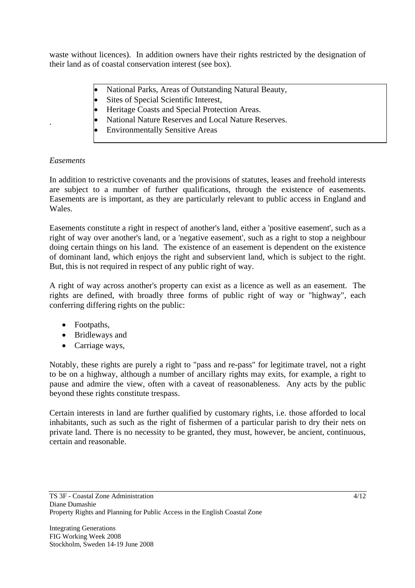waste without licences). In addition owners have their rights restricted by the designation of their land as of coastal conservation interest (see box).

- National Parks, Areas of Outstanding Natural Beauty,
- Sites of Special Scientific Interest,
- Heritage Coasts and Special Protection Areas.
- National Nature Reserves and Local Nature Reserves.
- Environmentally Sensitive Areas

#### *Easements*

.

In addition to restrictive covenants and the provisions of statutes, leases and freehold interests are subject to a number of further qualifications, through the existence of easements. Easements are is important, as they are particularly relevant to public access in England and Wales.

Easements constitute a right in respect of another's land, either a 'positive easement', such as a right of way over another's land, or a 'negative easement', such as a right to stop a neighbour doing certain things on his land. The existence of an easement is dependent on the existence of dominant land, which enjoys the right and subservient land, which is subject to the right. But, this is not required in respect of any public right of way.

A right of way across another's property can exist as a licence as well as an easement. The rights are defined, with broadly three forms of public right of way or "highway", each conferring differing rights on the public:

- Footpaths,
- Bridleways and
- Carriage ways,

Notably, these rights are purely a right to "pass and re-pass" for legitimate travel, not a right to be on a highway, although a number of ancillary rights may exits, for example, a right to pause and admire the view, often with a caveat of reasonableness. Any acts by the public beyond these rights constitute trespass.

Certain interests in land are further qualified by customary rights, i.e. those afforded to local inhabitants, such as such as the right of fishermen of a particular parish to dry their nets on private land. There is no necessity to be granted, they must, however, be ancient, continuous, certain and reasonable.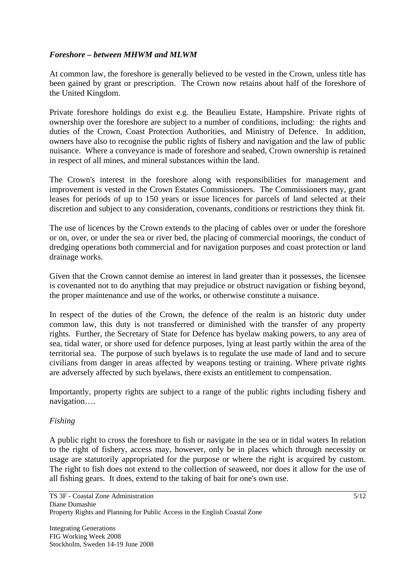### *Foreshore – between MHWM and MLWM*

At common law, the foreshore is generally believed to be vested in the Crown, unless title has been gained by grant or prescription. The Crown now retains about half of the foreshore of the United Kingdom.

Private foreshore holdings do exist e.g. the Beaulieu Estate, Hampshire. Private rights of ownership over the foreshore are subject to a number of conditions, including: the rights and duties of the Crown, Coast Protection Authorities, and Ministry of Defence. In addition, owners have also to recognise the public rights of fishery and navigation and the law of public nuisance. Where a conveyance is made of foreshore and seabed, Crown ownership is retained in respect of all mines, and mineral substances within the land.

The Crown's interest in the foreshore along with responsibilities for management and improvement is vested in the Crown Estates Commissioners. The Commissioners may, grant leases for periods of up to 150 years or issue licences for parcels of land selected at their discretion and subject to any consideration, covenants, conditions or restrictions they think fit.

The use of licences by the Crown extends to the placing of cables over or under the foreshore or on, over, or under the sea or river bed, the placing of commercial moorings, the conduct of dredging operations both commercial and for navigation purposes and coast protection or land drainage works.

Given that the Crown cannot demise an interest in land greater than it possesses, the licensee is covenanted not to do anything that may prejudice or obstruct navigation or fishing beyond, the proper maintenance and use of the works, or otherwise constitute a nuisance.

In respect of the duties of the Crown, the defence of the realm is an historic duty under common law, this duty is not transferred or diminished with the transfer of any property rights. Further, the Secretary of State for Defence has byelaw making powers, to any area of sea, tidal water, or shore used for defence purposes, lying at least partly within the area of the territorial sea. The purpose of such byelaws is to regulate the use made of land and to secure civilians from danger in areas affected by weapons testing or training. Where private rights are adversely affected by such byelaws, there exists an entitlement to compensation.

Importantly, property rights are subject to a range of the public rights including fishery and navigation….

#### *Fishing*

A public right to cross the foreshore to fish or navigate in the sea or in tidal waters In relation to the right of fishery, access may, however, only be in places which through necessity or usage are statutorily appropriated for the purpose or where the right is acquired by custom. The right to fish does not extend to the collection of seaweed, nor does it allow for the use of all fishing gears. It does, extend to the taking of bait for one's own use.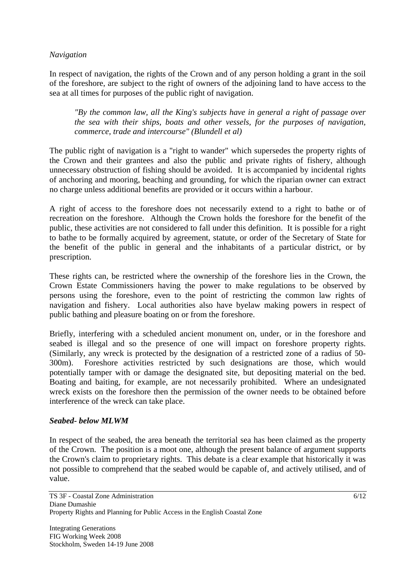#### *Navigation*

In respect of navigation, the rights of the Crown and of any person holding a grant in the soil of the foreshore, are subject to the right of owners of the adjoining land to have access to the sea at all times for purposes of the public right of navigation.

*"By the common law, all the King's subjects have in general a right of passage over the sea with their ships, boats and other vessels, for the purposes of navigation, commerce, trade and intercourse" (Blundell et al)* 

The public right of navigation is a "right to wander" which supersedes the property rights of the Crown and their grantees and also the public and private rights of fishery, although unnecessary obstruction of fishing should be avoided. It is accompanied by incidental rights of anchoring and mooring, beaching and grounding, for which the riparian owner can extract no charge unless additional benefits are provided or it occurs within a harbour.

A right of access to the foreshore does not necessarily extend to a right to bathe or of recreation on the foreshore. Although the Crown holds the foreshore for the benefit of the public, these activities are not considered to fall under this definition. It is possible for a right to bathe to be formally acquired by agreement, statute, or order of the Secretary of State for the benefit of the public in general and the inhabitants of a particular district, or by prescription.

These rights can, be restricted where the ownership of the foreshore lies in the Crown, the Crown Estate Commissioners having the power to make regulations to be observed by persons using the foreshore, even to the point of restricting the common law rights of navigation and fishery. Local authorities also have byelaw making powers in respect of public bathing and pleasure boating on or from the foreshore.

Briefly, interfering with a scheduled ancient monument on, under, or in the foreshore and seabed is illegal and so the presence of one will impact on foreshore property rights. (Similarly, any wreck is protected by the designation of a restricted zone of a radius of 50- 300m). Foreshore activities restricted by such designations are those, which would potentially tamper with or damage the designated site, but depositing material on the bed. Boating and baiting, for example, are not necessarily prohibited. Where an undesignated wreck exists on the foreshore then the permission of the owner needs to be obtained before interference of the wreck can take place.

#### *Seabed- below MLWM*

In respect of the seabed, the area beneath the territorial sea has been claimed as the property of the Crown. The position is a moot one, although the present balance of argument supports the Crown's claim to proprietary rights. This debate is a clear example that historically it was not possible to comprehend that the seabed would be capable of, and actively utilised, and of value.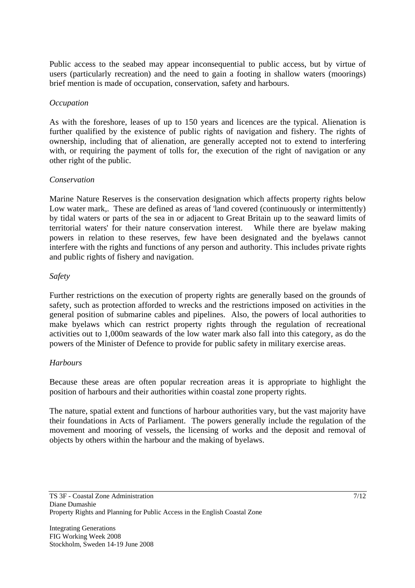Public access to the seabed may appear inconsequential to public access, but by virtue of users (particularly recreation) and the need to gain a footing in shallow waters (moorings) brief mention is made of occupation, conservation, safety and harbours.

#### *Occupation*

As with the foreshore, leases of up to 150 years and licences are the typical. Alienation is further qualified by the existence of public rights of navigation and fishery. The rights of ownership, including that of alienation, are generally accepted not to extend to interfering with, or requiring the payment of tolls for, the execution of the right of navigation or any other right of the public.

#### *Conservation*

Marine Nature Reserves is the conservation designation which affects property rights below Low water mark,. These are defined as areas of 'land covered (continuously or intermittently) by tidal waters or parts of the sea in or adjacent to Great Britain up to the seaward limits of territorial waters' for their nature conservation interest. While there are byelaw making powers in relation to these reserves, few have been designated and the byelaws cannot interfere with the rights and functions of any person and authority. This includes private rights and public rights of fishery and navigation.

#### *Safety*

Further restrictions on the execution of property rights are generally based on the grounds of safety, such as protection afforded to wrecks and the restrictions imposed on activities in the general position of submarine cables and pipelines. Also, the powers of local authorities to make byelaws which can restrict property rights through the regulation of recreational activities out to 1,000m seawards of the low water mark also fall into this category, as do the powers of the Minister of Defence to provide for public safety in military exercise areas.

#### *Harbours*

Because these areas are often popular recreation areas it is appropriate to highlight the position of harbours and their authorities within coastal zone property rights.

The nature, spatial extent and functions of harbour authorities vary, but the vast majority have their foundations in Acts of Parliament. The powers generally include the regulation of the movement and mooring of vessels, the licensing of works and the deposit and removal of objects by others within the harbour and the making of byelaws.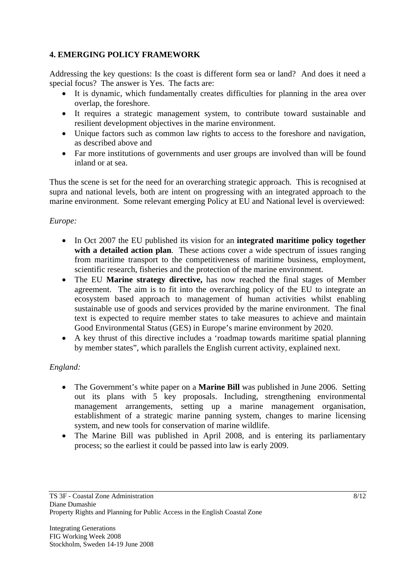# **4. EMERGING POLICY FRAMEWORK**

Addressing the key questions: Is the coast is different form sea or land? And does it need a special focus? The answer is Yes. The facts are:

- It is dynamic, which fundamentally creates difficulties for planning in the area over overlap, the foreshore.
- It requires a strategic management system, to contribute toward sustainable and resilient development objectives in the marine environment.
- Unique factors such as common law rights to access to the foreshore and navigation, as described above and
- Far more institutions of governments and user groups are involved than will be found inland or at sea.

Thus the scene is set for the need for an overarching strategic approach. This is recognised at supra and national levels, both are intent on progressing with an integrated approach to the marine environment. Some relevant emerging Policy at EU and National level is overviewed:

# *Europe:*

- In Oct 2007 the EU published its vision for an **integrated maritime policy together with a detailed action plan**. These actions cover a wide spectrum of issues ranging from maritime transport to the competitiveness of maritime business, employment, scientific research, fisheries and the protection of the marine environment.
- The EU **Marine strategy directive,** has now reached the final stages of Member agreement. The aim is to fit into the overarching policy of the EU to integrate an ecosystem based approach to management of human activities whilst enabling sustainable use of goods and services provided by the marine environment. The final text is expected to require member states to take measures to achieve and maintain Good Environmental Status (GES) in Europe's marine environment by 2020.
- A key thrust of this directive includes a 'roadmap towards maritime spatial planning by member states", which parallels the English current activity, explained next.

# *England:*

- The Government's white paper on a **Marine Bill** was published in June 2006. Setting out its plans with 5 key proposals. Including, strengthening environmental management arrangements, setting up a marine management organisation, establishment of a strategic marine panning system, changes to marine licensing system, and new tools for conservation of marine wildlife.
- The Marine Bill was published in April 2008, and is entering its parliamentary process; so the earliest it could be passed into law is early 2009.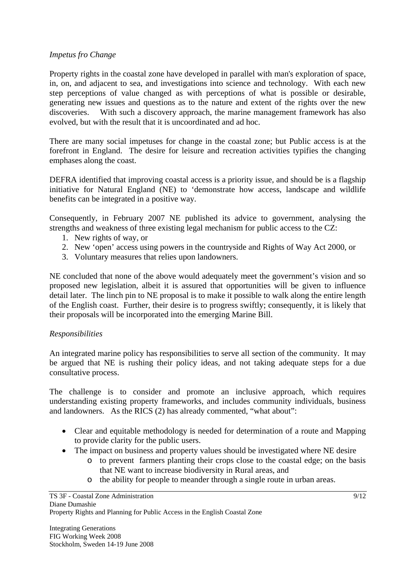#### *Impetus fro Change*

Property rights in the coastal zone have developed in parallel with man's exploration of space, in, on, and adjacent to sea, and investigations into science and technology. With each new step perceptions of value changed as with perceptions of what is possible or desirable, generating new issues and questions as to the nature and extent of the rights over the new discoveries. With such a discovery approach, the marine management framework has also evolved, but with the result that it is uncoordinated and ad hoc.

There are many social impetuses for change in the coastal zone; but Public access is at the forefront in England. The desire for leisure and recreation activities typifies the changing emphases along the coast.

DEFRA identified that improving coastal access is a priority issue, and should be is a flagship initiative for Natural England (NE) to 'demonstrate how access, landscape and wildlife benefits can be integrated in a positive way.

Consequently, in February 2007 NE published its advice to government, analysing the strengths and weakness of three existing legal mechanism for public access to the CZ:

- 1. New rights of way, or
- 2. New 'open' access using powers in the countryside and Rights of Way Act 2000, or
- 3. Voluntary measures that relies upon landowners.

NE concluded that none of the above would adequately meet the government's vision and so proposed new legislation, albeit it is assured that opportunities will be given to influence detail later. The linch pin to NE proposal is to make it possible to walk along the entire length of the English coast. Further, their desire is to progress swiftly; consequently, it is likely that their proposals will be incorporated into the emerging Marine Bill.

#### *Responsibilities*

An integrated marine policy has responsibilities to serve all section of the community. It may be argued that NE is rushing their policy ideas, and not taking adequate steps for a due consultative process.

The challenge is to consider and promote an inclusive approach, which requires understanding existing property frameworks, and includes community individuals, business and landowners. As the RICS (2) has already commented, "what about":

- Clear and equitable methodology is needed for determination of a route and Mapping to provide clarity for the public users.
- The impact on business and property values should be investigated where NE desire
	- o to prevent farmers planting their crops close to the coastal edge; on the basis that NE want to increase biodiversity in Rural areas, and
	- o the ability for people to meander through a single route in urban areas.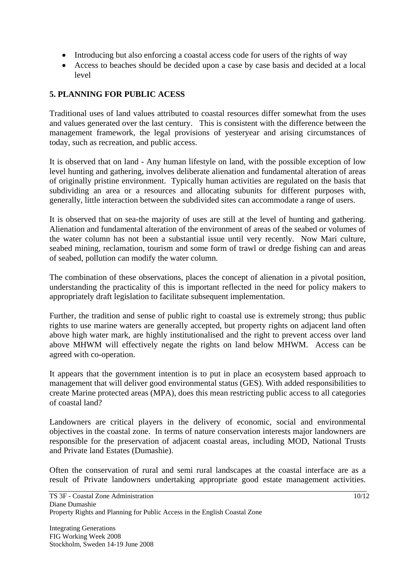- Introducing but also enforcing a coastal access code for users of the rights of way
- Access to beaches should be decided upon a case by case basis and decided at a local level

# **5. PLANNING FOR PUBLIC ACESS**

Traditional uses of land values attributed to coastal resources differ somewhat from the uses and values generated over the last century. This is consistent with the difference between the management framework, the legal provisions of yesteryear and arising circumstances of today, such as recreation, and public access.

It is observed that on land - Any human lifestyle on land, with the possible exception of low level hunting and gathering, involves deliberate alienation and fundamental alteration of areas of originally pristine environment. Typically human activities are regulated on the basis that subdividing an area or a resources and allocating subunits for different purposes with, generally, little interaction between the subdivided sites can accommodate a range of users.

It is observed that on sea-the majority of uses are still at the level of hunting and gathering. Alienation and fundamental alteration of the environment of areas of the seabed or volumes of the water column has not been a substantial issue until very recently. Now Mari culture, seabed mining, reclamation, tourism and some form of trawl or dredge fishing can and areas of seabed, pollution can modify the water column.

The combination of these observations, places the concept of alienation in a pivotal position, understanding the practicality of this is important reflected in the need for policy makers to appropriately draft legislation to facilitate subsequent implementation.

Further, the tradition and sense of public right to coastal use is extremely strong; thus public rights to use marine waters are generally accepted, but property rights on adjacent land often above high water mark, are highly institutionalised and the right to prevent access over land above MHWM will effectively negate the rights on land below MHWM. Access can be agreed with co-operation.

It appears that the government intention is to put in place an ecosystem based approach to management that will deliver good environmental status (GES). With added responsibilities to create Marine protected areas (MPA), does this mean restricting public access to all categories of coastal land?

Landowners are critical players in the delivery of economic, social and environmental objectives in the coastal zone. In terms of nature conservation interests major landowners are responsible for the preservation of adjacent coastal areas, including MOD, National Trusts and Private land Estates (Dumashie).

Often the conservation of rural and semi rural landscapes at the coastal interface are as a result of Private landowners undertaking appropriate good estate management activities.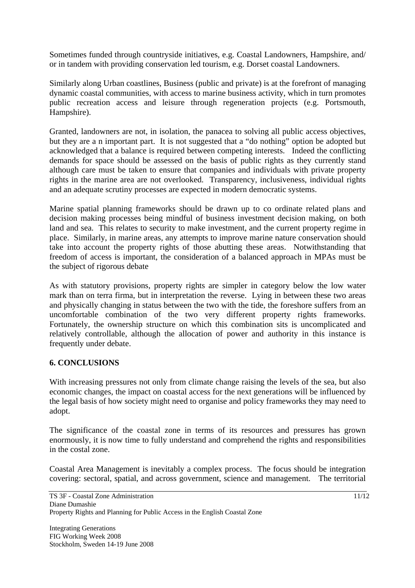Sometimes funded through countryside initiatives, e.g. Coastal Landowners, Hampshire, and/ or in tandem with providing conservation led tourism, e.g. Dorset coastal Landowners.

Similarly along Urban coastlines, Business (public and private) is at the forefront of managing dynamic coastal communities, with access to marine business activity, which in turn promotes public recreation access and leisure through regeneration projects (e.g. Portsmouth, Hampshire).

Granted, landowners are not, in isolation, the panacea to solving all public access objectives, but they are a n important part. It is not suggested that a "do nothing" option be adopted but acknowledged that a balance is required between competing interests. Indeed the conflicting demands for space should be assessed on the basis of public rights as they currently stand although care must be taken to ensure that companies and individuals with private property rights in the marine area are not overlooked. Transparency, inclusiveness, individual rights and an adequate scrutiny processes are expected in modern democratic systems.

Marine spatial planning frameworks should be drawn up to co ordinate related plans and decision making processes being mindful of business investment decision making, on both land and sea. This relates to security to make investment, and the current property regime in place. Similarly, in marine areas, any attempts to improve marine nature conservation should take into account the property rights of those abutting these areas. Notwithstanding that freedom of access is important, the consideration of a balanced approach in MPAs must be the subject of rigorous debate

As with statutory provisions, property rights are simpler in category below the low water mark than on terra firma, but in interpretation the reverse. Lying in between these two areas and physically changing in status between the two with the tide, the foreshore suffers from an uncomfortable combination of the two very different property rights frameworks. Fortunately, the ownership structure on which this combination sits is uncomplicated and relatively controllable, although the allocation of power and authority in this instance is frequently under debate.

### **6. CONCLUSIONS**

With increasing pressures not only from climate change raising the levels of the sea, but also economic changes, the impact on coastal access for the next generations will be influenced by the legal basis of how society might need to organise and policy frameworks they may need to adopt.

The significance of the coastal zone in terms of its resources and pressures has grown enormously, it is now time to fully understand and comprehend the rights and responsibilities in the costal zone.

Coastal Area Management is inevitably a complex process. The focus should be integration covering: sectoral, spatial, and across government, science and management. The territorial